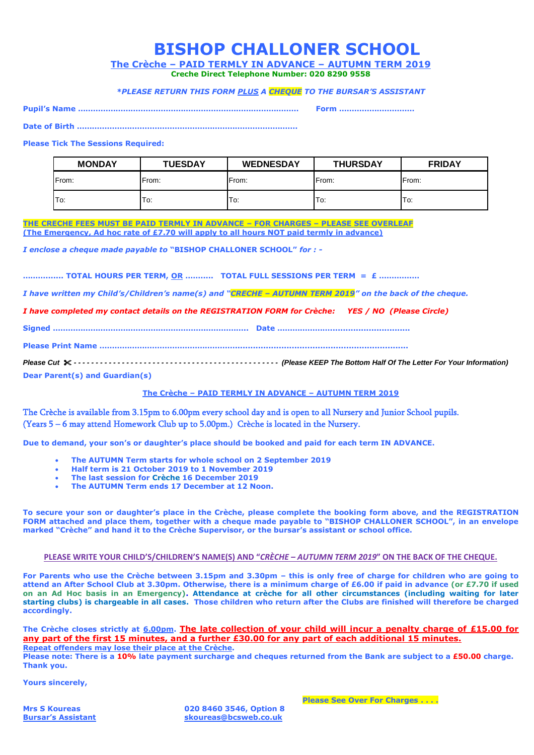|  | <b>BISHOP CHALLONER SCHOOL</b> |  |
|--|--------------------------------|--|
|--|--------------------------------|--|

**The Crèche – PAID TERMLY IN ADVANCE – AUTUMN TERM 2019** 

**Creche Direct Telephone Number: 020 8290 9558**

## *\*PLEASE RETURN THIS FORM PLUS A CHEQUE TO THE BURSAR'S ASSISTANT*

**Pupil's Name ……………………………………………………………….…………… Form …………………………**

**Date of Birth …………………………………………………………………………….**

## **Please Tick The Sessions Required:**

| <b>MONDAY</b> | <b>TUESDAY</b> | <b>WEDNESDAY</b> | <b>THURSDAY</b> | <b>FRIDAY</b> |
|---------------|----------------|------------------|-----------------|---------------|
| From:         | From:          | From:            | From:           | From:         |
| To:           | To:            | To:              | To:             | To:           |

**THE CRECHE FEES MUST BE PAID TERMLY IN ADVANCE – FOR CHARGES – PLEASE SEE OVERLEAF (The Emergency, Ad hoc rate of £7.70 will apply to all hours NOT paid termly in advance)**

*I enclose a cheque made payable to* **"BISHOP CHALLONER SCHOOL"** *for : -*

**………....... TOTAL HOURS PER TERM, OR ……..... TOTAL FULL SESSIONS PER TERM = £ ………….…**

*I have written my Child's/Children's name(s) and "CRECHE – AUTUMN TERM 2019" on the back of the cheque.*

*I have completed my contact details on the REGISTRATION FORM for Crèche: YES / NO (Please Circle)*

**Signed …………………………………………………….…………….. Date …………………...............................**

**Please Print Name ………………………………………………...................................................................**

*Please Cut - - - - - - - - - - - - - - - - - - - - - - - - - - - - - - - - - - - - - - - - - - - - - - - (Please KEEP The Bottom Half Of The Letter For Your Information)* **Dear Parent(s) and Guardian(s)**

## **The Crèche – PAID TERMLY IN ADVANCE – AUTUMN TERM 2019**

The Crèche is available from 3.15pm to 6.00pm every school day and is open to all Nursery and Junior School pupils. (Years 5 – 6 may attend Homework Club up to 5.00pm.) Crèche is located in the Nursery.

**Due to demand, your son's or daughter's place should be booked and paid for each term IN ADVANCE.** 

- **The AUTUMN Term starts for whole school on 2 September 2019**
- **Half term is 21 October 2019 to 1 November 2019**
- **The last session for Crèche 16 December 2019**
- **The AUTUMN Term ends 17 December at 12 Noon.**

**To secure your son or daughter's place in the Crèche, please complete the booking form above, and the REGISTRATION FORM attached and place them, together with a cheque made payable to "BISHOP CHALLONER SCHOOL", in an envelope marked "Crèche" and hand it to the Crèche Supervisor, or the bursar's assistant or school office.**

## **PLEASE WRITE YOUR CHILD'S/CHILDREN'S NAME(S) AND "***CRÈCHE – AUTUMN TERM 2019***" ON THE BACK OF THE CHEQUE.**

**For Parents who use the Crèche between 3.15pm and 3.30pm – this is only free of charge for children who are going to attend an After School Club at 3.30pm. Otherwise, there is a minimum charge of £6.00 if paid in advance (or £7.70 if used on an Ad Hoc basis in an Emergency). Attendance at crèche for all other circumstances (including waiting for later starting clubs) is chargeable in all cases. Those children who return after the Clubs are finished will therefore be charged accordingly.**

**The Crèche closes strictly at 6.00pm. The late collection of your child will incur a penalty charge of £15.00 for any part of the first 15 minutes, and a further £30.00 for any part of each additional 15 minutes. Repeat offenders may lose their place at the Crèche.** 

**Please note: There is a 10% late payment surcharge and cheques returned from the Bank are subject to a £50.00 charge. Thank you.**

**Yours sincerely,**

**Mrs S Koureas 020 8460 3546, Option 8 Bursar's Assistant skoureas@bcsweb.co.uk**

 **Please See Over For Charges . . . .**